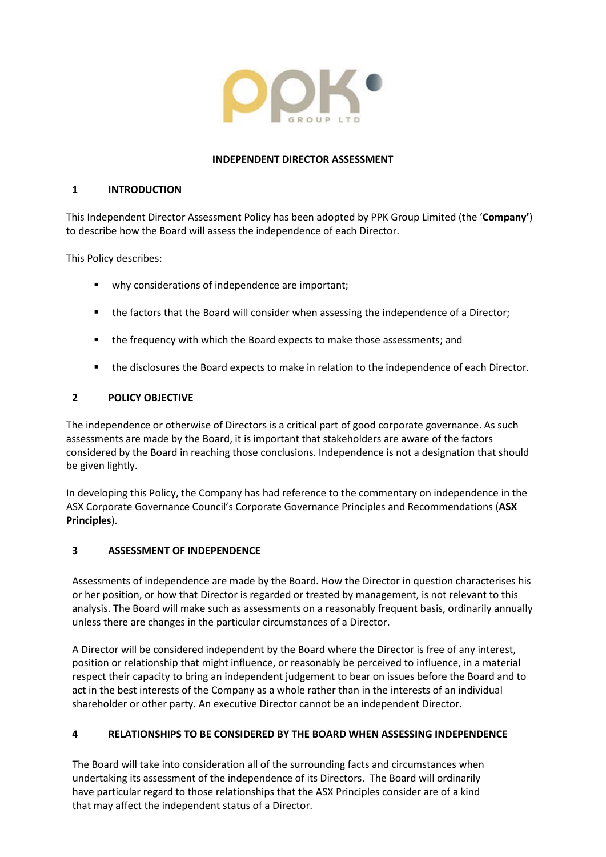

### **INDEPENDENT DIRECTOR ASSESSMENT**

### **1 INTRODUCTION**

This Independent Director Assessment Policy has been adopted by PPK Group Limited (the '**Company'**) to describe how the Board will assess the independence of each Director.

This Policy describes:

- why considerations of independence are important;
- the factors that the Board will consider when assessing the independence of a Director;
- the frequency with which the Board expects to make those assessments; and
- the disclosures the Board expects to make in relation to the independence of each Director.

# **2 POLICY OBJECTIVE**

The independence or otherwise of Directors is a critical part of good corporate governance. As such assessments are made by the Board, it is important that stakeholders are aware of the factors considered by the Board in reaching those conclusions. Independence is not a designation that should be given lightly.

In developing this Policy, the Company has had reference to the commentary on independence in the ASX Corporate Governance Council's Corporate Governance Principles and Recommendations (**ASX Principles**).

# **3 ASSESSMENT OF INDEPENDENCE**

Assessments of independence are made by the Board. How the Director in question characterises his or her position, or how that Director is regarded or treated by management, is not relevant to this analysis. The Board will make such as assessments on a reasonably frequent basis, ordinarily annually unless there are changes in the particular circumstances of a Director.

A Director will be considered independent by the Board where the Director is free of any interest, position or relationship that might influence, or reasonably be perceived to influence, in a material respect their capacity to bring an independent judgement to bear on issues before the Board and to act in the best interests of the Company as a whole rather than in the interests of an individual shareholder or other party. An executive Director cannot be an independent Director.

# **4 RELATIONSHIPS TO BE CONSIDERED BY THE BOARD WHEN ASSESSING INDEPENDENCE**

The Board will take into consideration all of the surrounding facts and circumstances when undertaking its assessment of the independence of its Directors. The Board will ordinarily have particular regard to those relationships that the ASX Principles consider are of a kind that may affect the independent status of a Director.